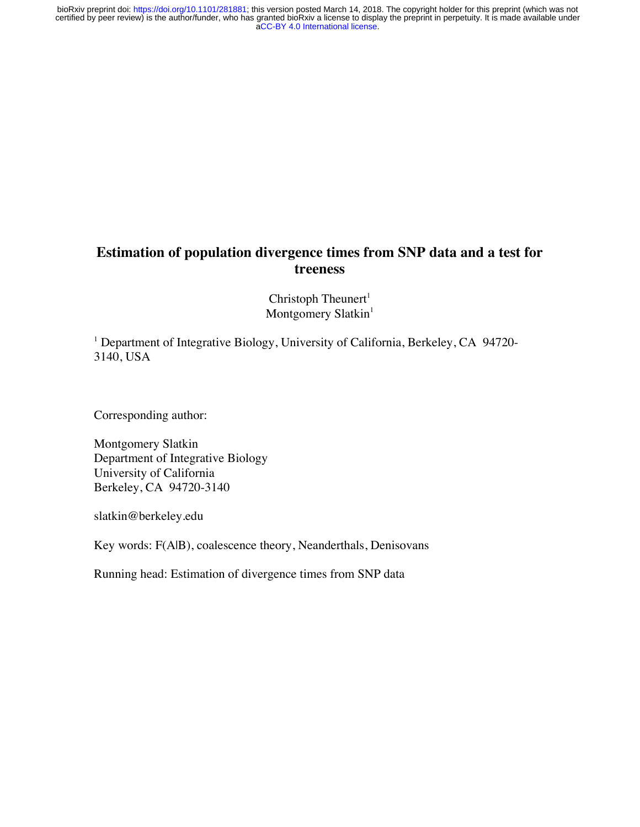# **Estimation of population divergence times from SNP data and a test for treeness**

Christoph Theunert<sup>1</sup> Montgomery Slatkin<sup>1</sup>

<sup>1</sup> Department of Integrative Biology, University of California, Berkeley, CA 94720-3140, USA

Corresponding author:

Montgomery Slatkin Department of Integrative Biology University of California Berkeley, CA 94720-3140

slatkin@berkeley.edu

Key words: F(A|B), coalescence theory, Neanderthals, Denisovans

Running head: Estimation of divergence times from SNP data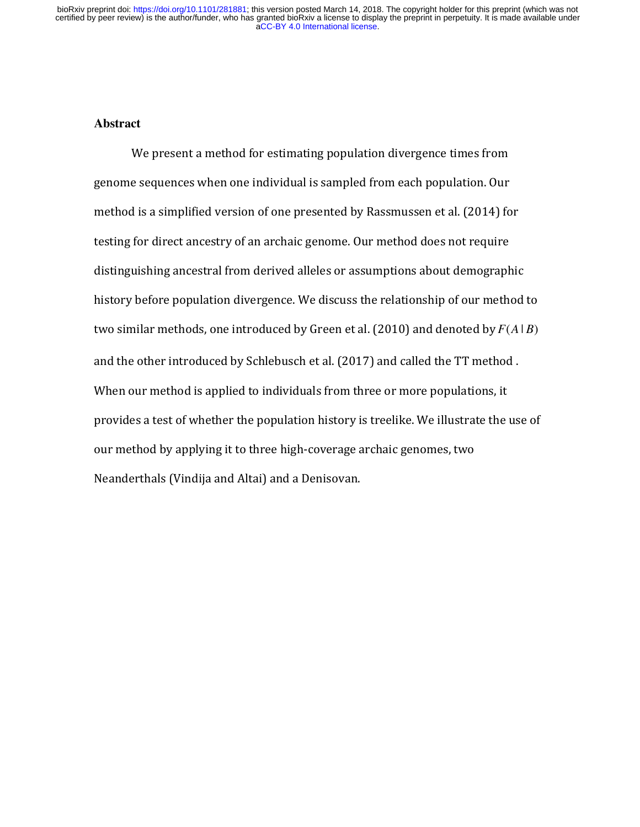#### **Abstract**

We present a method for estimating population divergence times from genome sequences when one individual is sampled from each population. Our method is a simplified version of one presented by Rassmussen et al. (2014) for testing for direct ancestry of an archaic genome. Our method does not require distinguishing ancestral from derived alleles or assumptions about demographic history before population divergence. We discuss the relationship of our method to two similar methods, one introduced by Green et al. (2010) and denoted by  $F(A|B)$ and the other introduced by Schlebusch et al. (2017) and called the TT method. When our method is applied to individuals from three or more populations, it provides a test of whether the population history is treelike. We illustrate the use of our method by applying it to three high-coverage archaic genomes, two Neanderthals (Vindija and Altai) and a Denisovan.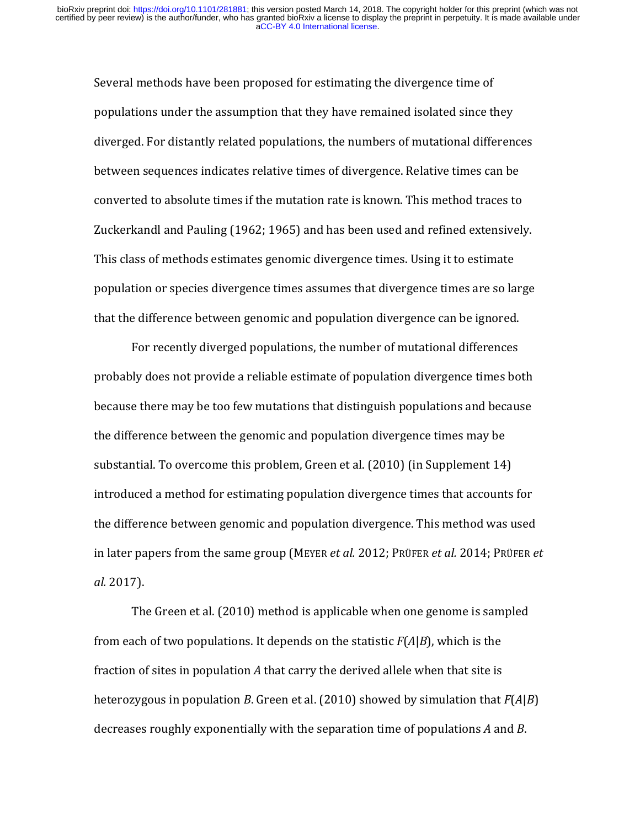Several methods have been proposed for estimating the divergence time of populations under the assumption that they have remained isolated since they diverged. For distantly related populations, the numbers of mutational differences between sequences indicates relative times of divergence. Relative times can be converted to absolute times if the mutation rate is known. This method traces to Zuckerkandl and Pauling (1962; 1965) and has been used and refined extensively. This class of methods estimates genomic divergence times. Using it to estimate population or species divergence times assumes that divergence times are so large that the difference between genomic and population divergence can be ignored.

For recently diverged populations, the number of mutational differences probably does not provide a reliable estimate of population divergence times both because there may be too few mutations that distinguish populations and because the difference between the genomic and population divergence times may be substantial. To overcome this problem, Green et al. (2010) (in Supplement 14) introduced a method for estimating population divergence times that accounts for the difference between genomic and population divergence. This method was used in later papers from the same group (MEYER *et al.* 2012; PRÜFER *et al.* 2014; PRÜFER *et al.* 2017). 

The Green et al.  $(2010)$  method is applicable when one genome is sampled from each of two populations. It depends on the statistic  $F(A|B)$ , which is the fraction of sites in population  $A$  that carry the derived allele when that site is heterozygous in population *B*. Green et al. (2010) showed by simulation that  $F(A|B)$ decreases roughly exponentially with the separation time of populations A and B.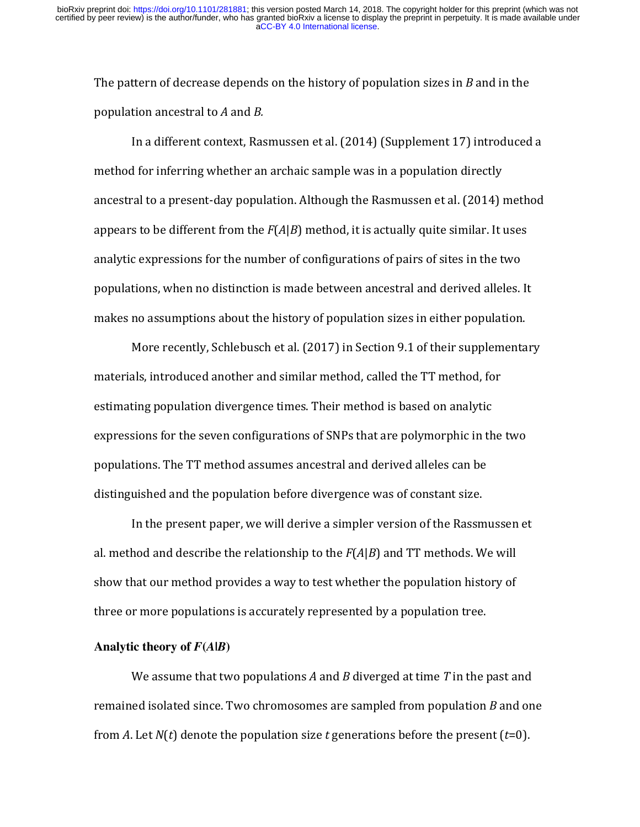The pattern of decrease depends on the history of population sizes in *B* and in the population ancestral to *A* and *B.*

In a different context, Rasmussen et al. (2014) (Supplement 17) introduced a method for inferring whether an archaic sample was in a population directly ancestral to a present-day population. Although the Rasmussen et al. (2014) method appears to be different from the  $F(A|B)$  method, it is actually quite similar. It uses analytic expressions for the number of configurations of pairs of sites in the two populations, when no distinction is made between ancestral and derived alleles. It makes no assumptions about the history of population sizes in either population.

More recently, Schlebusch et al.  $(2017)$  in Section 9.1 of their supplementary materials, introduced another and similar method, called the TT method, for estimating population divergence times. Their method is based on analytic expressions for the seven configurations of SNPs that are polymorphic in the two populations. The TT method assumes ancestral and derived alleles can be distinguished and the population before divergence was of constant size.

In the present paper, we will derive a simpler version of the Rassmussen et al. method and describe the relationship to the  $F(A|B)$  and TT methods. We will show that our method provides a way to test whether the population history of three or more populations is accurately represented by a population tree.

#### **Analytic theory of** *F***(***A***|***B***)**

We assume that two populations *A* and *B* diverged at time *T* in the past and remained isolated since. Two chromosomes are sampled from population *B* and one from A. Let  $N(t)$  denote the population size t generations before the present  $(t=0)$ .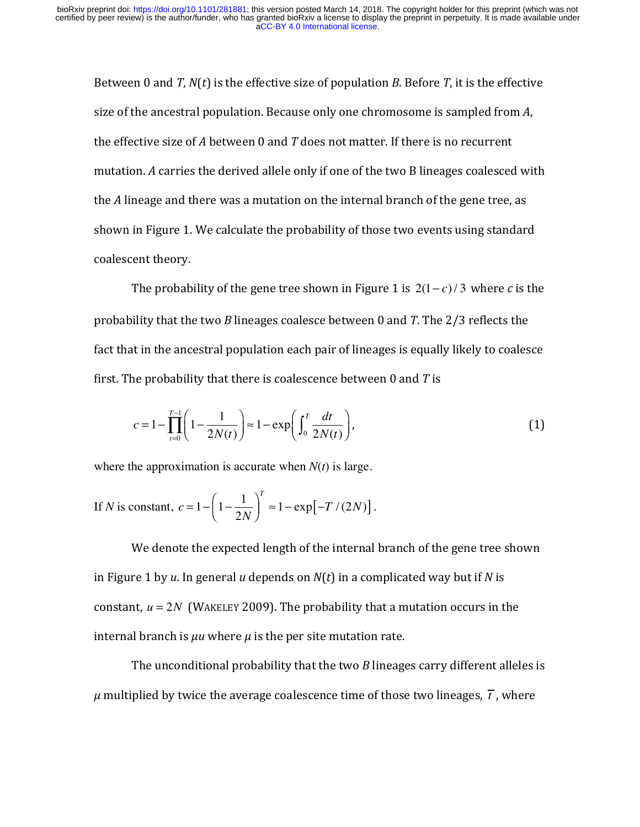Between 0 and *T*,  $N(t)$  is the effective size of population *B*. Before *T*, it is the effective size of the ancestral population. Because only one chromosome is sampled from A, the effective size of A between 0 and T does not matter. If there is no recurrent mutation. A carries the derived allele only if one of the two B lineages coalesced with the A lineage and there was a mutation on the internal branch of the gene tree, as shown in Figure 1. We calculate the probability of those two events using standard coalescent theory.

The probability of the gene tree shown in Figure 1 is  $2(1-c)/3$  where *c* is the probability that the two *B* lineages coalesce between 0 and *T*. The  $2/3$  reflects the fact that in the ancestral population each pair of lineages is equally likely to coalesce first. The probability that there is coalescence between  $0$  and  $T$  is

$$
c = 1 - \prod_{t=0}^{T-1} \left( 1 - \frac{1}{2N(t)} \right) \approx 1 - \exp\left( \int_0^T \frac{dt}{2N(t)} \right),\tag{1}
$$

where the approximation is accurate when *N*(*t*) is large.

If N is constant, 
$$
c = 1 - \left(1 - \frac{1}{2N}\right)^T \approx 1 - \exp[-T/(2N)].
$$

We denote the expected length of the internal branch of the gene tree shown in Figure 1 by *u*. In general *u* depends on  $N(t)$  in a complicated way but if N is constant,  $u = 2N$  (WAKELEY 2009). The probability that a mutation occurs in the internal branch is  $\mu u$  where  $\mu$  is the per site mutation rate.

The unconditional probability that the two  $B$  lineages carry different alleles is  $\mu$  multiplied by twice the average coalescence time of those two lineages,  $\bar{t}$ , where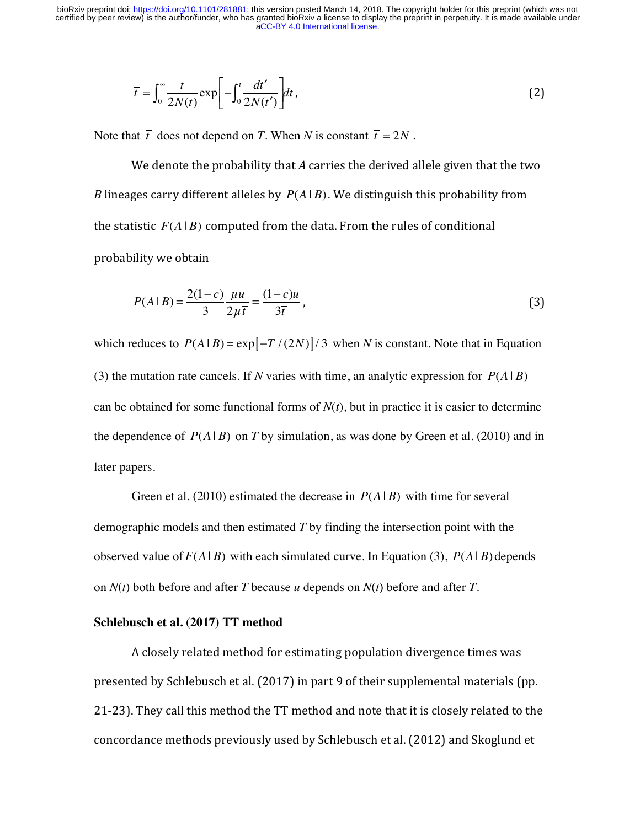$$
\overline{t} = \int_0^\infty \frac{t}{2N(t)} \exp\left[-\int_0^t \frac{dt'}{2N(t')} \right] dt , \qquad (2)
$$

Note that  $\overline{t}$  does not depend on *T*. When *N* is constant  $\overline{t} = 2N$ .

We denote the probability that  $A$  carries the derived allele given that the two *B* lineages carry different alleles by  $P(A | B)$ . We distinguish this probability from the statistic  $F(A | B)$  computed from the data. From the rules of conditional probability we obtain

$$
P(A \mid B) = \frac{2(1-c)}{3} \frac{\mu u}{2\mu \bar{t}} = \frac{(1-c)u}{3\bar{t}},
$$
\n(3)

which reduces to  $P(A|B) = \exp[-T/(2N)]/3$  when *N* is constant. Note that in Equation (3) the mutation rate cancels. If *N* varies with time, an analytic expression for  $P(A|B)$ can be obtained for some functional forms of  $N(t)$ , but in practice it is easier to determine the dependence of  $P(A | B)$  on *T* by simulation, as was done by Green et al. (2010) and in later papers.

Green et al. (2010) estimated the decrease in *P*(*A* | *B*) with time for several demographic models and then estimated *T* by finding the intersection point with the observed value of  $F(A | B)$  with each simulated curve. In Equation (3),  $P(A | B)$  depends on *N*(*t*) both before and after *T* because *u* depends on *N*(*t*) before and after *T*.

## **Schlebusch et al. (2017) TT method**

A closely related method for estimating population divergence times was presented by Schlebusch et al.  $(2017)$  in part 9 of their supplemental materials (pp. 21-23). They call this method the TT method and note that it is closely related to the concordance methods previously used by Schlebusch et al. (2012) and Skoglund et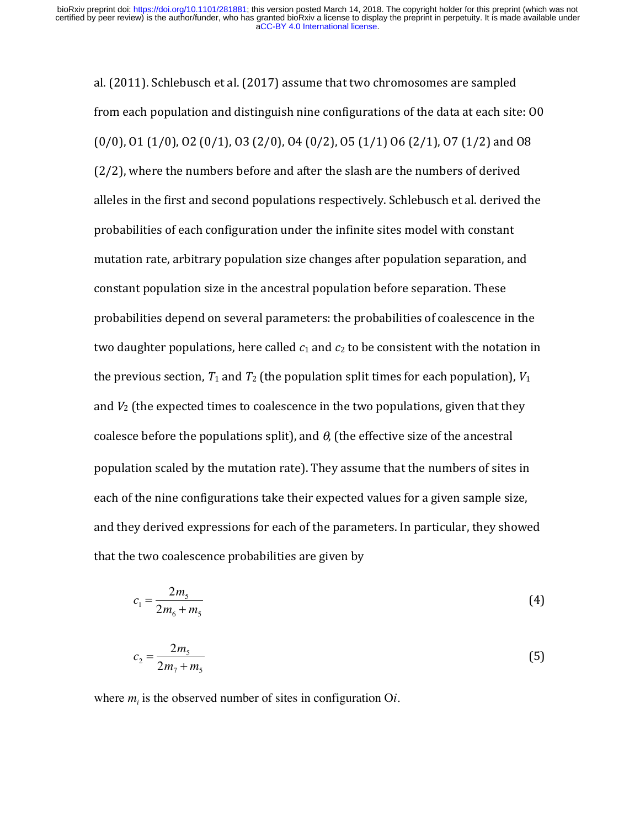al. (2011). Schlebusch et al. (2017) assume that two chromosomes are sampled from each population and distinguish nine configurations of the data at each site: 00  $(0/0)$ , 01  $(1/0)$ , 02  $(0/1)$ , 03  $(2/0)$ , 04  $(0/2)$ , 05  $(1/1)$  06  $(2/1)$ , 07  $(1/2)$  and 08  $(2/2)$ , where the numbers before and after the slash are the numbers of derived alleles in the first and second populations respectively. Schlebusch et al. derived the probabilities of each configuration under the infinite sites model with constant mutation rate, arbitrary population size changes after population separation, and constant population size in the ancestral population before separation. These probabilities depend on several parameters: the probabilities of coalescence in the two daughter populations, here called  $c_1$  and  $c_2$  to be consistent with the notation in the previous section,  $T_1$  and  $T_2$  (the population split times for each population),  $V_1$ and  $V_2$  (the expected times to coalescence in the two populations, given that they coalesce before the populations split), and  $\theta$ , (the effective size of the ancestral population scaled by the mutation rate). They assume that the numbers of sites in each of the nine configurations take their expected values for a given sample size, and they derived expressions for each of the parameters. In particular, they showed that the two coalescence probabilities are given by

$$
c_1 = \frac{2m_5}{2m_6 + m_5} \tag{4}
$$

$$
c_2 = \frac{2m_5}{2m_7 + m_5} \tag{5}
$$

where  $m_i$  is the observed number of sites in configuration  $O_i$ .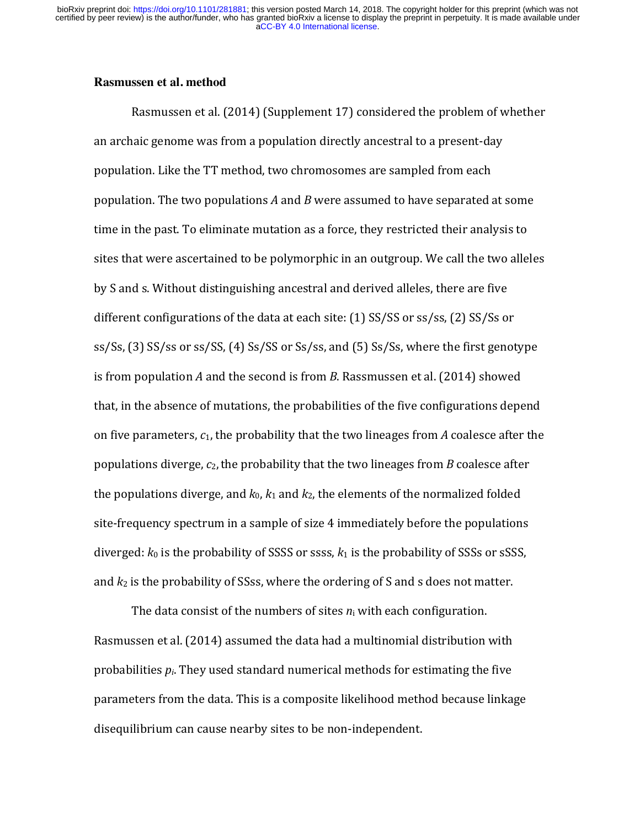#### **Rasmussen et al. method**

Rasmussen et al. (2014) (Supplement 17) considered the problem of whether an archaic genome was from a population directly ancestral to a present-day population. Like the TT method, two chromosomes are sampled from each population. The two populations A and B were assumed to have separated at some time in the past. To eliminate mutation as a force, they restricted their analysis to sites that were ascertained to be polymorphic in an outgroup. We call the two alleles by S and s. Without distinguishing ancestral and derived alleles, there are five different configurations of the data at each site:  $(1)$  SS/SS or ss/ss,  $(2)$  SS/Ss or  $ss/Ss$ , (3)  $SS/ss$  or  $ss/Ss$ , (4)  $Ss/Ss$  or  $Ss/ss$ , and (5)  $Ss/Ss$ , where the first genotype is from population  $A$  and the second is from  $B$ . Rassmussen et al. (2014) showed that, in the absence of mutations, the probabilities of the five configurations depend on five parameters,  $c_1$ , the probability that the two lineages from *A* coalesce after the populations diverge,  $c_2$ , the probability that the two lineages from *B* coalesce after the populations diverge, and  $k_0$ ,  $k_1$  and  $k_2$ , the elements of the normalized folded site-frequency spectrum in a sample of size 4 immediately before the populations diverged:  $k_0$  is the probability of SSSS or ssss,  $k_1$  is the probability of SSSs or sSSS, and  $k_2$  is the probability of SSss, where the ordering of S and s does not matter.

The data consist of the numbers of sites  $n_i$  with each configuration. Rasmussen et al. (2014) assumed the data had a multinomial distribution with probabilities  $p_i$ . They used standard numerical methods for estimating the five parameters from the data. This is a composite likelihood method because linkage disequilibrium can cause nearby sites to be non-independent.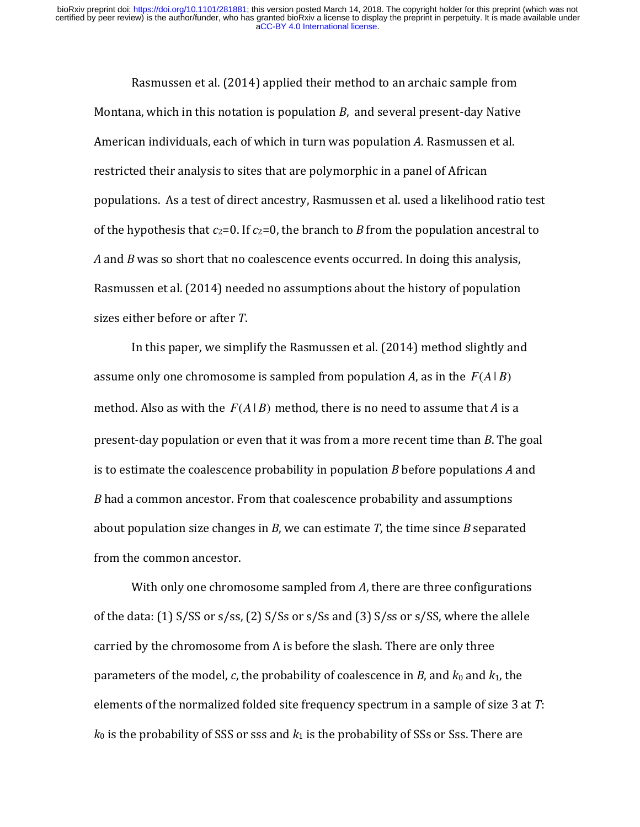Rasmussen et al. (2014) applied their method to an archaic sample from Montana, which in this notation is population  $B$ , and several present-day Native American individuals, each of which in turn was population A. Rasmussen et al. restricted their analysis to sites that are polymorphic in a panel of African populations. As a test of direct ancestry, Rasmussen et al. used a likelihood ratio test of the hypothesis that  $c_2=0$ . If  $c_2=0$ , the branch to *B* from the population ancestral to *A* and *B* was so short that no coalescence events occurred. In doing this analysis, Rasmussen et al. (2014) needed no assumptions about the history of population sizes either before or after *T*.

In this paper, we simplify the Rasmussen et al.  $(2014)$  method slightly and assume only one chromosome is sampled from population *A*, as in the  $F(A|B)$ method. Also as with the  $F(A | B)$  method, there is no need to assume that A is a present-day population or even that it was from a more recent time than *B*. The goal is to estimate the coalescence probability in population *B* before populations *A* and *B* had a common ancestor. From that coalescence probability and assumptions about population size changes in  $B$ , we can estimate  $T$ , the time since  $B$  separated from the common ancestor.

With only one chromosome sampled from A, there are three configurations of the data:  $(1)$  S/SS or s/ss,  $(2)$  S/Ss or s/Ss and  $(3)$  S/ss or s/SS, where the allele carried by the chromosome from A is before the slash. There are only three parameters of the model, c, the probability of coalescence in *B*, and  $k_0$  and  $k_1$ , the elements of the normalized folded site frequency spectrum in a sample of size 3 at *T*:  $k_0$  is the probability of SSS or sss and  $k_1$  is the probability of SSs or Sss. There are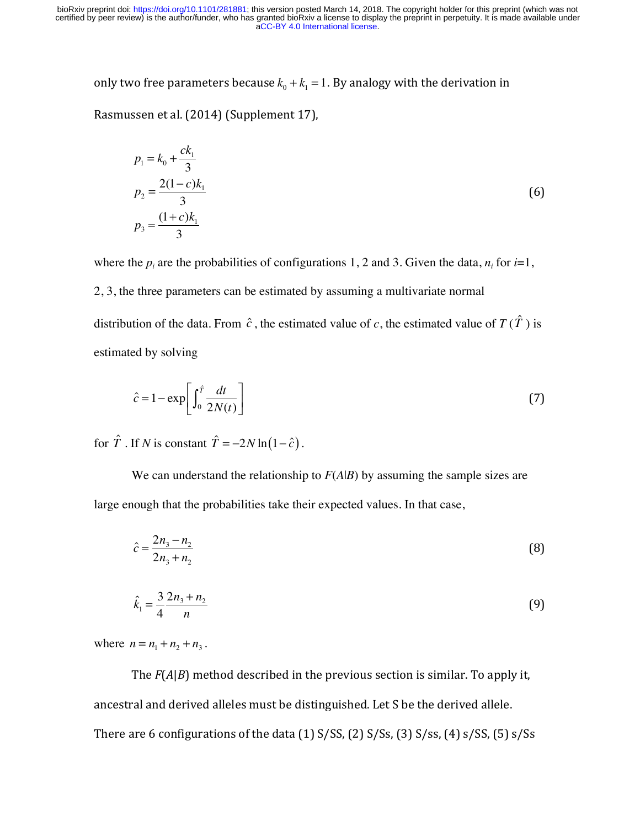only two free parameters because  $k_0 + k_1 = 1$ . By analogy with the derivation in Rasmussen et al. (2014) (Supplement 17),

$$
p_1 = k_0 + \frac{ck_1}{3}
$$
  
\n
$$
p_2 = \frac{2(1-c)k_1}{3}
$$
  
\n
$$
p_3 = \frac{(1+c)k_1}{3}
$$
\n(6)

where the  $p_i$  are the probabilities of configurations 1, 2 and 3. Given the data,  $n_i$  for  $i=1$ , 2, 3, the three parameters can be estimated by assuming a multivariate normal distribution of the data. From  $\hat{c}$ , the estimated value of c, the estimated value of  $T(\hat{T})$  is

estimated by solving

$$
\hat{c} = 1 - \exp\left[\int_0^{\hat{r}} \frac{dt}{2N(t)}\right]
$$
\n(7)

for  $\hat{T}$  . If *N* is constant  $\hat{T} = -2N \ln(1-\hat{c})$ .

We can understand the relationship to  $F(A|B)$  by assuming the sample sizes are large enough that the probabilities take their expected values. In that case,

$$
\hat{c} = \frac{2n_3 - n_2}{2n_3 + n_2} \tag{8}
$$

$$
\hat{k}_1 = \frac{3}{4} \frac{2n_3 + n_2}{n}
$$
\n(9)

where  $n = n_1 + n_2 + n_3$ .

The  $F(A|B)$  method described in the previous section is similar. To apply it, ancestral and derived alleles must be distinguished. Let S be the derived allele. There are 6 configurations of the data  $(1)$  S/SS,  $(2)$  S/Ss,  $(3)$  S/ss,  $(4)$  s/SS,  $(5)$  s/Ss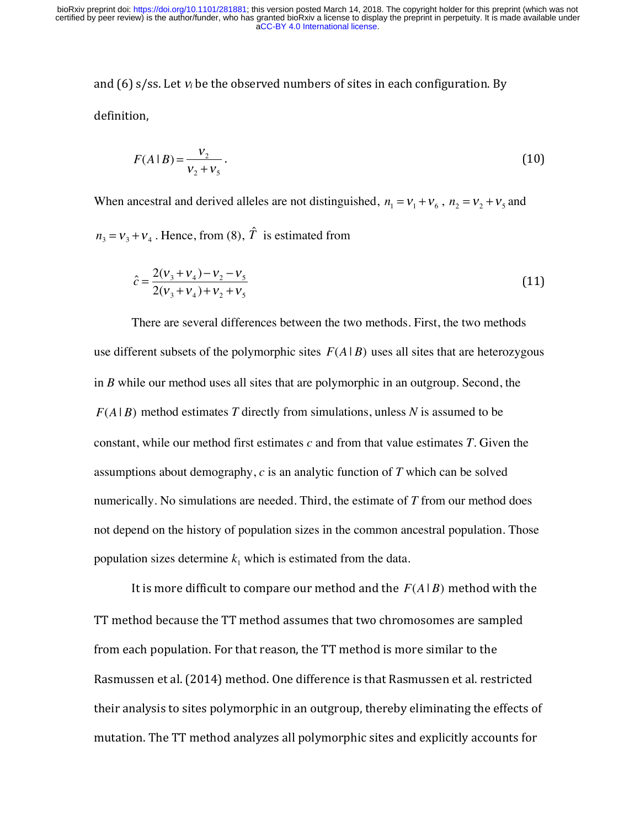and  $(6)$  s/ss. Let  $v_i$  be the observed numbers of sites in each configuration. By definition,

$$
F(A \mid B) = \frac{V_2}{V_2 + V_5} \,. \tag{10}
$$

When ancestral and derived alleles are not distinguished,  $n_1 = v_1 + v_6$ ,  $n_2 = v_2 + v_5$  and  $n_3 = v_3 + v_4$ . Hence, from (8),  $\hat{T}$  is estimated from

$$
\hat{c} = \frac{2(v_3 + v_4) - v_2 - v_5}{2(v_3 + v_4) + v_2 + v_5}
$$
\n(11)

There are several differences between the two methods. First, the two methods use different subsets of the polymorphic sites  $F(A | B)$  uses all sites that are heterozygous in *B* while our method uses all sites that are polymorphic in an outgroup. Second, the  $F(A|B)$  method estimates *T* directly from simulations, unless *N* is assumed to be constant, while our method first estimates *c* and from that value estimates *T*. Given the assumptions about demography, *c* is an analytic function of *T* which can be solved numerically. No simulations are needed. Third, the estimate of *T* from our method does not depend on the history of population sizes in the common ancestral population. Those population sizes determine  $k_1$  which is estimated from the data.

It is more difficult to compare our method and the  $F(A | B)$  method with the TT method because the TT method assumes that two chromosomes are sampled from each population. For that reason, the TT method is more similar to the Rasmussen et al. (2014) method. One difference is that Rasmussen et al. restricted their analysis to sites polymorphic in an outgroup, thereby eliminating the effects of mutation. The TT method analyzes all polymorphic sites and explicitly accounts for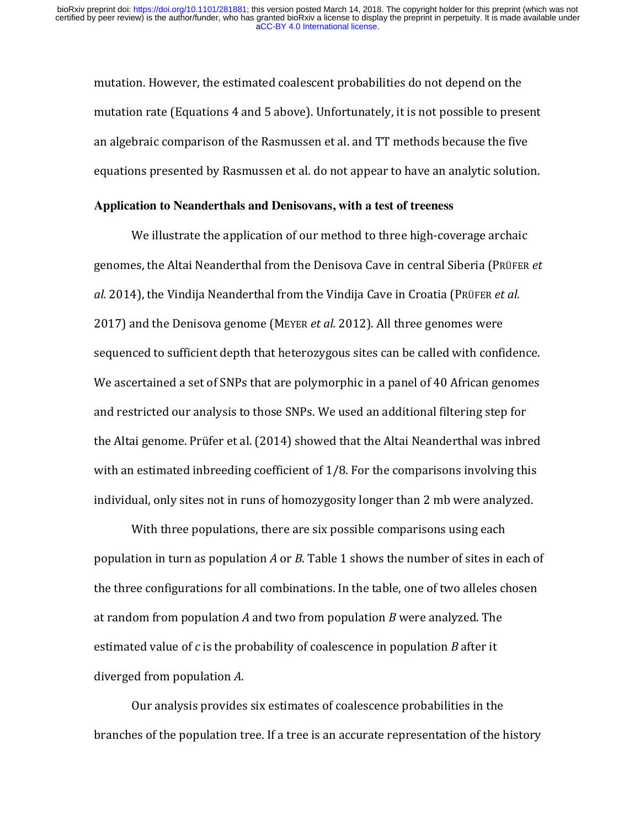mutation. However, the estimated coalescent probabilities do not depend on the mutation rate (Equations  $4$  and  $5$  above). Unfortunately, it is not possible to present an algebraic comparison of the Rasmussen et al. and TT methods because the five equations presented by Rasmussen et al. do not appear to have an analytic solution.

### **Application to Neanderthals and Denisovans, with a test of treeness**

We illustrate the application of our method to three high-coverage archaic genomes, the Altai Neanderthal from the Denisova Cave in central Siberia (PRÜFER *et*) al. 2014), the Vindija Neanderthal from the Vindija Cave in Croatia (PRÜFER et al. 2017) and the Denisova genome (MEYER *et al.* 2012). All three genomes were sequenced to sufficient depth that heterozygous sites can be called with confidence. We ascertained a set of SNPs that are polymorphic in a panel of 40 African genomes and restricted our analysis to those SNPs. We used an additional filtering step for the Altai genome. Prüfer et al.  $(2014)$  showed that the Altai Neanderthal was inbred with an estimated inbreeding coefficient of  $1/8$ . For the comparisons involving this individual, only sites not in runs of homozygosity longer than 2 mb were analyzed.

With three populations, there are six possible comparisons using each population in turn as population *A* or *B*. Table 1 shows the number of sites in each of the three configurations for all combinations. In the table, one of two alleles chosen at random from population *A* and two from population *B* were analyzed. The estimated value of  $c$  is the probability of coalescence in population  $B$  after it diverged from population A.

Our analysis provides six estimates of coalescence probabilities in the branches of the population tree. If a tree is an accurate representation of the history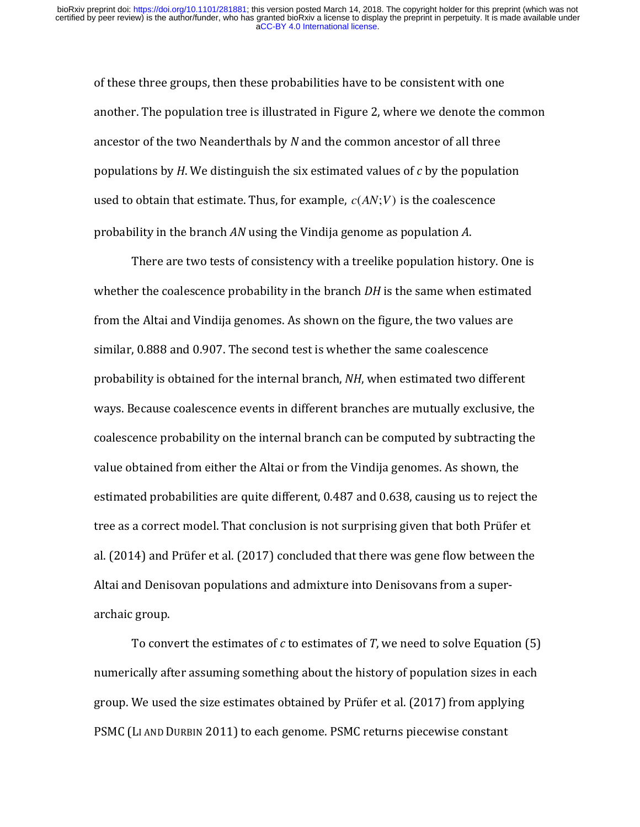of these three groups, then these probabilities have to be consistent with one another. The population tree is illustrated in Figure 2, where we denote the common ancestor of the two Neanderthals by *N* and the common ancestor of all three populations by  $H$ . We distinguish the six estimated values of  $c$  by the population used to obtain that estimate. Thus, for example,  $c(AN;V)$  is the coalescence probability in the branch *AN* using the Vindija genome as population *A*.

There are two tests of consistency with a treelike population history. One is whether the coalescence probability in the branch *DH* is the same when estimated from the Altai and Vindija genomes. As shown on the figure, the two values are similar, 0.888 and 0.907. The second test is whether the same coalescence probability is obtained for the internal branch, NH, when estimated two different ways. Because coalescence events in different branches are mutually exclusive, the coalescence probability on the internal branch can be computed by subtracting the value obtained from either the Altai or from the Vindija genomes. As shown, the estimated probabilities are quite different, 0.487 and 0.638, causing us to reject the tree as a correct model. That conclusion is not surprising given that both Prüfer et al. (2014) and Prüfer et al. (2017) concluded that there was gene flow between the Altai and Denisovan populations and admixture into Denisovans from a superarchaic group.

To convert the estimates of  $c$  to estimates of  $T$ , we need to solve Equation (5) numerically after assuming something about the history of population sizes in each group. We used the size estimates obtained by Prüfer et al. (2017) from applying PSMC (LI AND DURBIN 2011) to each genome. PSMC returns piecewise constant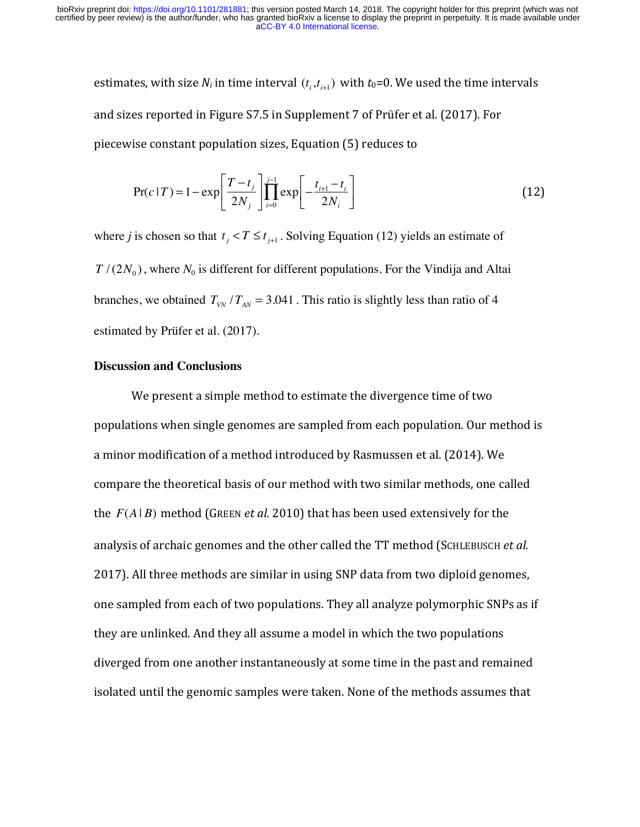estimates, with size  $N_i$  in time interval  $(t_i, t_{i+1})$  with  $t_0$ =0. We used the time intervals and sizes reported in Figure S7.5 in Supplement 7 of Prüfer et al. (2017). For piecewise constant population sizes, Equation (5) reduces to

$$
Pr(c|T) = 1 - exp\left[\frac{T - t_j}{2N_j}\right] \prod_{i=0}^{j-1} exp\left[-\frac{t_{i+1} - t_i}{2N_i}\right]
$$
(12)

where *j* is chosen so that  $t_j < T \leq t_{j+1}$ . Solving Equation (12) yields an estimate of  $T/(2N_0)$ , where  $N_0$  is different for different populations. For the Vindija and Altai branches, we obtained  $T_{VN}$  / $T_{AN}$  = 3.041. This ratio is slightly less than ratio of 4 estimated by Prüfer et al. (2017).

## **Discussion and Conclusions**

We present a simple method to estimate the divergence time of two populations when single genomes are sampled from each population. Our method is a minor modification of a method introduced by Rasmussen et al. (2014). We compare the theoretical basis of our method with two similar methods, one called the  $F(A|B)$  method (GREEN *et al.* 2010) that has been used extensively for the analysis of archaic genomes and the other called the TT method (SCHLEBUSCH *et al.*) 2017). All three methods are similar in using SNP data from two diploid genomes, one sampled from each of two populations. They all analyze polymorphic SNPs as if they are unlinked. And they all assume a model in which the two populations diverged from one another instantaneously at some time in the past and remained isolated until the genomic samples were taken. None of the methods assumes that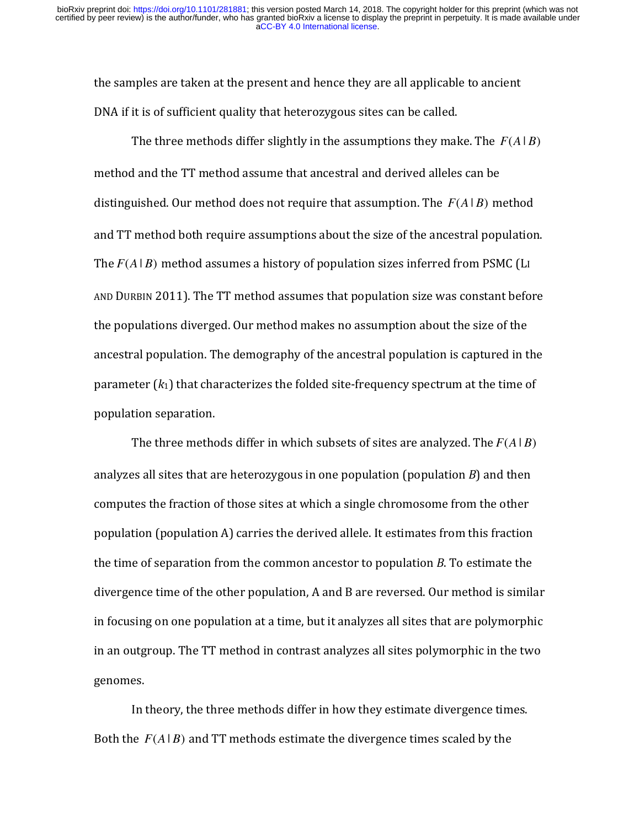the samples are taken at the present and hence they are all applicable to ancient DNA if it is of sufficient quality that heterozygous sites can be called.

The three methods differ slightly in the assumptions they make. The  $F(A | B)$ method and the TT method assume that ancestral and derived alleles can be distinguished. Our method does not require that assumption. The  $F(A | B)$  method and TT method both require assumptions about the size of the ancestral population. The  $F(A|B)$  method assumes a history of population sizes inferred from PSMC (LI AND DURBIN 2011). The TT method assumes that population size was constant before the populations diverged. Our method makes no assumption about the size of the ancestral population. The demography of the ancestral population is captured in the parameter  $(k_1)$  that characterizes the folded site-frequency spectrum at the time of population separation.

The three methods differ in which subsets of sites are analyzed. The  $F(A | B)$ analyzes all sites that are heterozygous in one population (population  $B$ ) and then computes the fraction of those sites at which a single chromosome from the other population (population A) carries the derived allele. It estimates from this fraction the time of separation from the common ancestor to population  $B$ . To estimate the divergence time of the other population, A and B are reversed. Our method is similar in focusing on one population at a time, but it analyzes all sites that are polymorphic in an outgroup. The TT method in contrast analyzes all sites polymorphic in the two genomes.

In theory, the three methods differ in how they estimate divergence times. Both the  $F(A \mid B)$  and TT methods estimate the divergence times scaled by the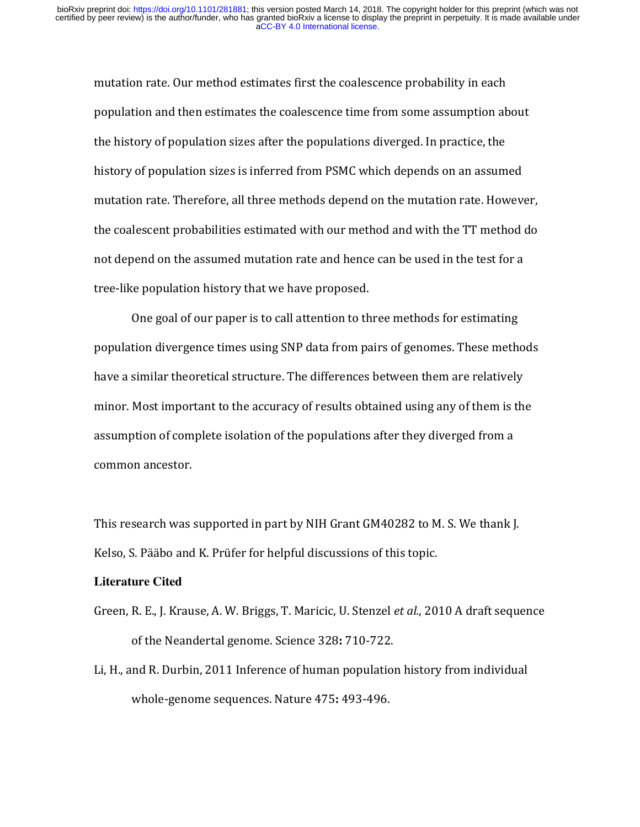mutation rate. Our method estimates first the coalescence probability in each population and then estimates the coalescence time from some assumption about the history of population sizes after the populations diverged. In practice, the history of population sizes is inferred from PSMC which depends on an assumed mutation rate. Therefore, all three methods depend on the mutation rate. However, the coalescent probabilities estimated with our method and with the TT method do not depend on the assumed mutation rate and hence can be used in the test for a tree-like population history that we have proposed.

One goal of our paper is to call attention to three methods for estimating population divergence times using SNP data from pairs of genomes. These methods have a similar theoretical structure. The differences between them are relatively minor. Most important to the accuracy of results obtained using any of them is the assumption of complete isolation of the populations after they diverged from a common ancestor.

This research was supported in part by NIH Grant GM40282 to M. S. We thank I. Kelso, S. Pääbo and K. Prüfer for helpful discussions of this topic.

### **Literature Cited**

- Green, R. E., J. Krause, A. W. Briggs, T. Maricic, U. Stenzel *et al.*, 2010 A draft sequence of the Neandertal genome. Science 328: 710-722.
- Li, H., and R. Durbin, 2011 Inference of human population history from individual whole-genome sequences. Nature 475: 493-496.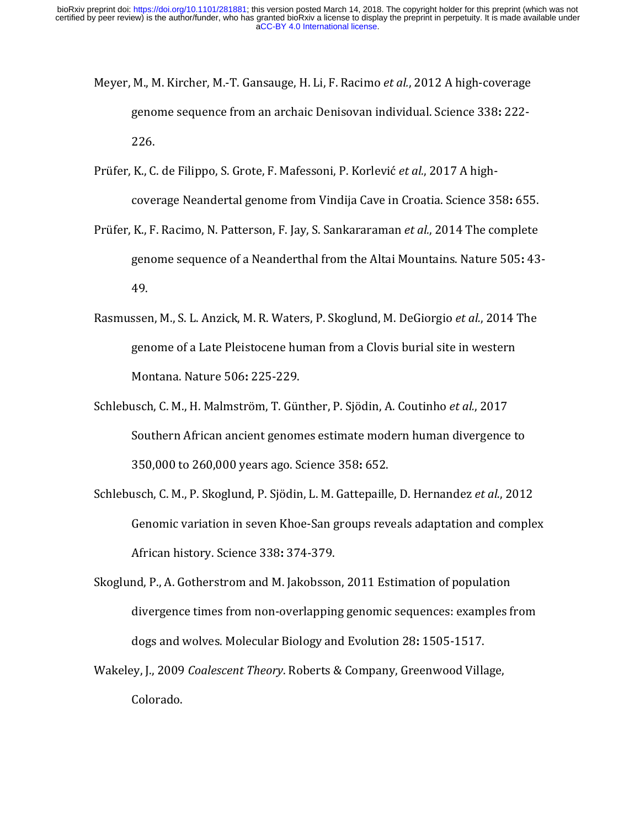- Mever, M., M. Kircher, M.-T. Gansauge, H. Li, F. Racimo et al., 2012 A high-coverage genome sequence from an archaic Denisovan individual. Science 338: 222-226.
- Prüfer, K., C. de Filippo, S. Grote, F. Mafessoni, P. Korlević *et al.*, 2017 A highcoverage Neandertal genome from Vindija Cave in Croatia. Science 358: 655.
- Prüfer, K., F. Racimo, N. Patterson, F. Jay, S. Sankararaman et al., 2014 The complete genome sequence of a Neanderthal from the Altai Mountains. Nature 505: 43-49.
- Rasmussen, M., S. L. Anzick, M. R. Waters, P. Skoglund, M. DeGiorgio *et al.*, 2014 The genome of a Late Pleistocene human from a Clovis burial site in western Montana. Nature 506**:** 225-229.
- Schlebusch, C. M., H. Malmström, T. Günther, P. Sjödin, A. Coutinho et al., 2017 Southern African ancient genomes estimate modern human divergence to 350,000 to 260,000 years ago. Science 358**:** 652.
- Schlebusch, C. M., P. Skoglund, P. Sjödin, L. M. Gattepaille, D. Hernandez et al., 2012 Genomic variation in seven Khoe-San groups reveals adaptation and complex African history. Science 338**:** 374-379.
- Skoglund, P., A. Gotherstrom and M. Jakobsson, 2011 Estimation of population divergence times from non-overlapping genomic sequences: examples from dogs and wolves. Molecular Biology and Evolution 28**:** 1505-1517.
- Wakeley, J., 2009 *Coalescent Theory*. Roberts & Company, Greenwood Village, Colorado.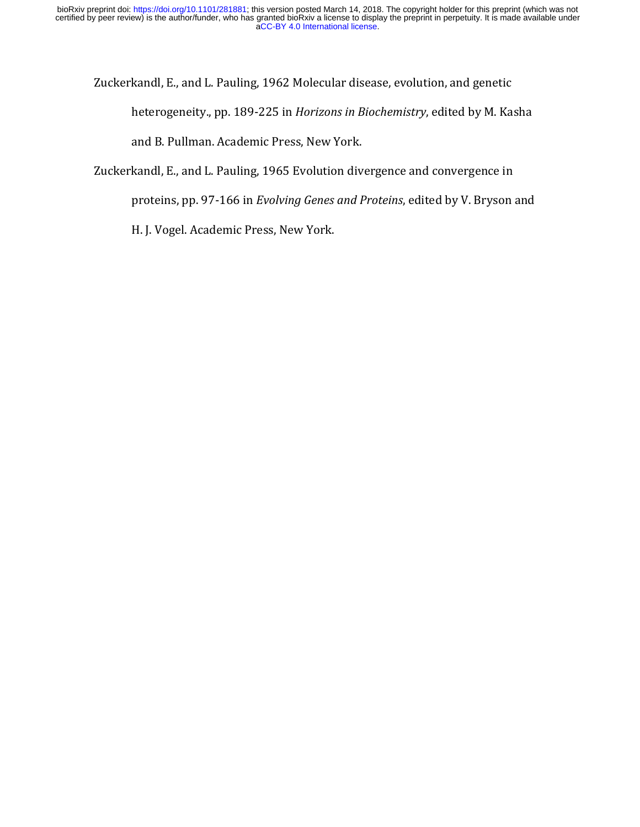Zuckerkandl, E., and L. Pauling, 1962 Molecular disease, evolution, and genetic heterogeneity., pp. 189-225 in *Horizons in Biochemistry*, edited by M. Kasha and B. Pullman. Academic Press, New York.

Zuckerkandl, E., and L. Pauling, 1965 Evolution divergence and convergence in proteins, pp. 97-166 in *Evolving Genes and Proteins*, edited by V. Bryson and

H. J. Vogel. Academic Press, New York.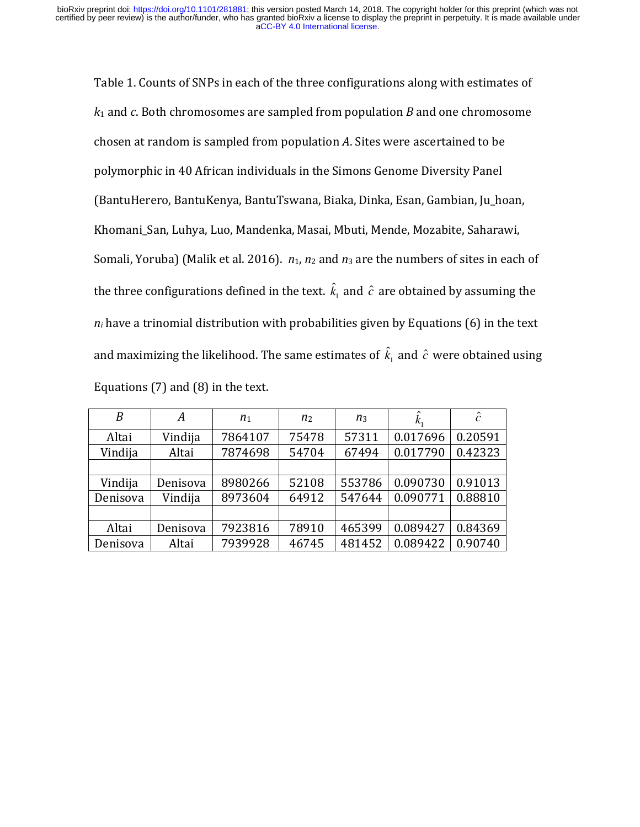Table 1. Counts of SNPs in each of the three configurations along with estimates of  $k_1$  and c. Both chromosomes are sampled from population *B* and one chromosome chosen at random is sampled from population *A*. Sites were ascertained to be polymorphic in 40 African individuals in the Simons Genome Diversity Panel (BantuHerero, BantuKenya, BantuTswana, Biaka, Dinka, Esan, Gambian, Ju\_hoan, Khomani\_San, Luhya, Luo, Mandenka, Masai, Mbuti, Mende, Mozabite, Saharawi, Somali, Yoruba) (Malik et al. 2016).  $n_1$ ,  $n_2$  and  $n_3$  are the numbers of sites in each of the three configurations defined in the text.  $\hat k_{\text{\tiny I}}$  and  $\hat c$  are obtained by assuming the  $n_i$  have a trinomial distribution with probabilities given by Equations  $(6)$  in the text and maximizing the likelihood. The same estimates of  $\hat k_{\scriptscriptstyle \rm I}$  and  $\hat c\,$  were obtained using Equations  $(7)$  and  $(8)$  in the text.

| $\boldsymbol{B}$ | A        | n <sub>1</sub> | n <sub>2</sub> | $n_3$  |          | $\hat{c}$ |
|------------------|----------|----------------|----------------|--------|----------|-----------|
| Altai            | Vindija  | 7864107        | 75478          | 57311  | 0.017696 | 0.20591   |
| Vindija          | Altai    | 7874698        | 54704          | 67494  | 0.017790 | 0.42323   |
|                  |          |                |                |        |          |           |
| Vindija          | Denisova | 8980266        | 52108          | 553786 | 0.090730 | 0.91013   |
| Denisova         | Vindija  | 8973604        | 64912          | 547644 | 0.090771 | 0.88810   |
|                  |          |                |                |        |          |           |
| Altai            | Denisova | 7923816        | 78910          | 465399 | 0.089427 | 0.84369   |
| Denisova         | Altai    | 7939928        | 46745          | 481452 | 0.089422 | 0.90740   |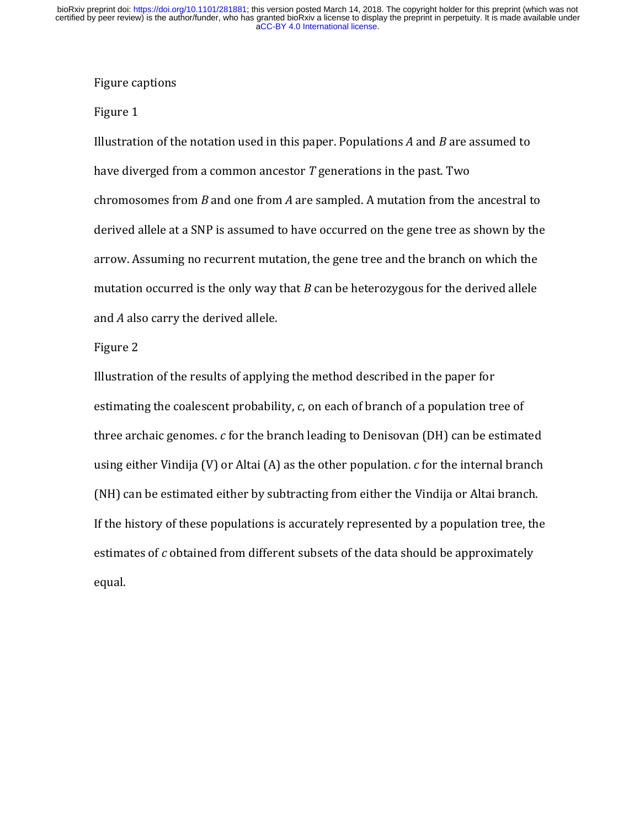## Figure captions

## Figure 1

Illustration of the notation used in this paper. Populations  $A$  and  $B$  are assumed to have diverged from a common ancestor *T* generations in the past. Two chromosomes from *B* and one from *A* are sampled. A mutation from the ancestral to derived allele at a SNP is assumed to have occurred on the gene tree as shown by the arrow. Assuming no recurrent mutation, the gene tree and the branch on which the mutation occurred is the only way that  $B$  can be heterozygous for the derived allele and *A* also carry the derived allele.

## Figure 2

Illustration of the results of applying the method described in the paper for estimating the coalescent probability,  $c$ , on each of branch of a population tree of three archaic genomes.  $c$  for the branch leading to Denisovan  $(DH)$  can be estimated using either Vindija  $(V)$  or Altai  $(A)$  as the other population. *c* for the internal branch (NH) can be estimated either by subtracting from either the Vindija or Altai branch. If the history of these populations is accurately represented by a population tree, the estimates of *c* obtained from different subsets of the data should be approximately equal.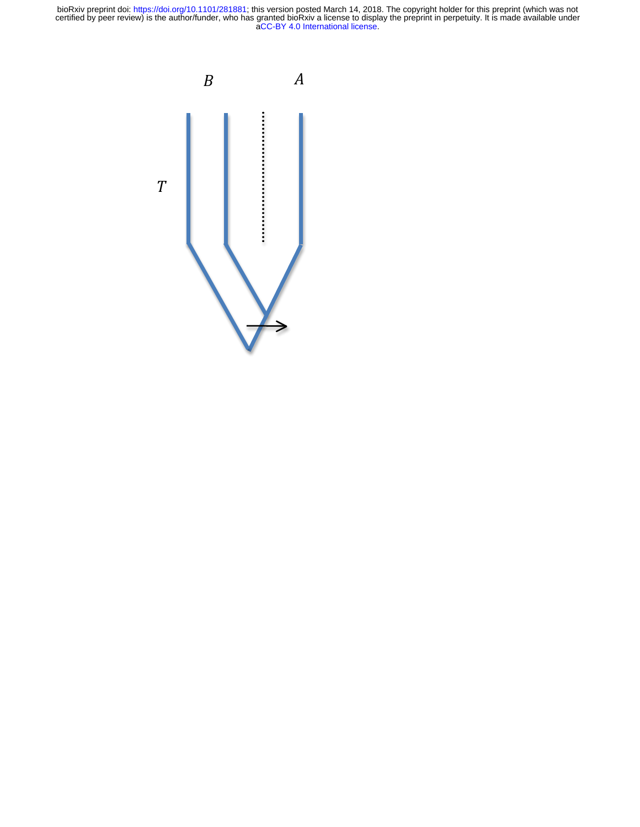